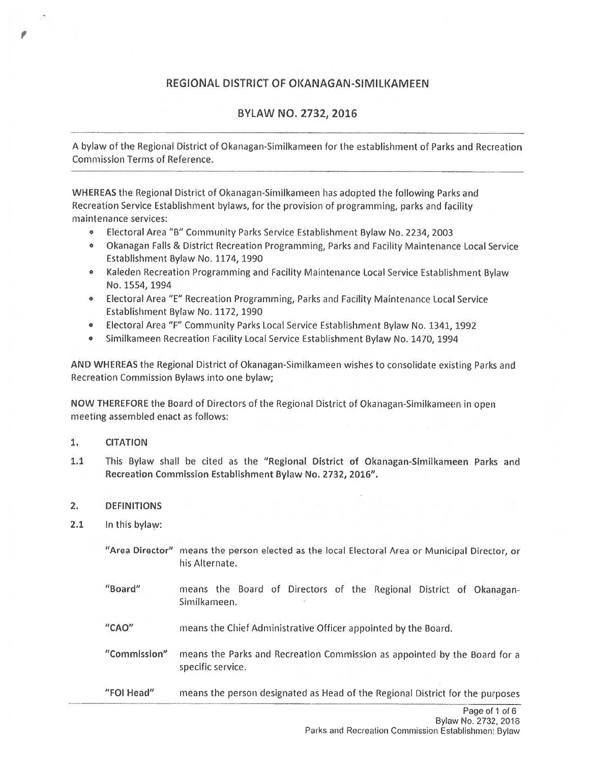## REGIONAL DISTRICT OF OKANAGAN-SIMILKAMEEN

# BYLAW NO. 2732, 2016

A bylaw of the Regional District of Okanagan-Sirnilkameen for the establishment of Parks and Recreation Commission Terms of Reference.

WHEREAS the Regional District of Okanagan-Similkameen has adopted the following Parks and Recreation Service Establishment bylaws, for the provision of programming, parks and facility maintenance services:

- <sup>o</sup> Electoral Area "B" Community Parks Service Establishment Bylaw No. 2234, 2003
- <sup>o</sup> Okanagan Falls & District Recreation Programming, Parks and Facility Maintenance Local Service Establishment Bylaw No. 1174, 1990
- <sup>o</sup> Kaleden Recreation Programming and Facility Maintenance Local Service Establishment Bylaw No. 1554, 1994
- <sup>o</sup> Electoral Area "E" Recreation Programming, Parks and Facility Maintenance Local Service Establishment Bylaw No. 1172, 1990
- Electoral Area "F" Community Parks Local Service Establishment Bylaw No. 1341, 1992
- •Similkameen Recreation Facility Local Service Establishment Bylaw No. 1470, 1994

AND WHEREAS the Regional District of Okanagan-Similkameen wishes to consolidate existing Parks and Recreation Commission Bylaws into one bylaw;

NOW THEREFORE the Board of Directors of the Regional District of Okanagan-Similkameen in open meeting assembled enact as follows:

## 1. CITATION

1.1 This Bylaw shall be cited as the "Regional District of Okanagan-Similkameen Parks and Recreation Commission Establishment Bylaw No. 2732, 2016".

## 2. DEFINITIONS

- 2.1 In this bylaw:
	- "Area Director" means the person elected as the local Electoral Area or Municipal Director, or his Alternate.
	- "Board" means the Board of Directors of the Regional District of Okanagan Similkameen.
	- "CAD" means the Chief Administrative Officer appointed by the Board.
	- "Commission" means the Parks and Recreation Commission as appointed by the Board for <sup>a</sup> specific service.
	- "FOl Head" means the person designated as Head of the Regional District for the purposes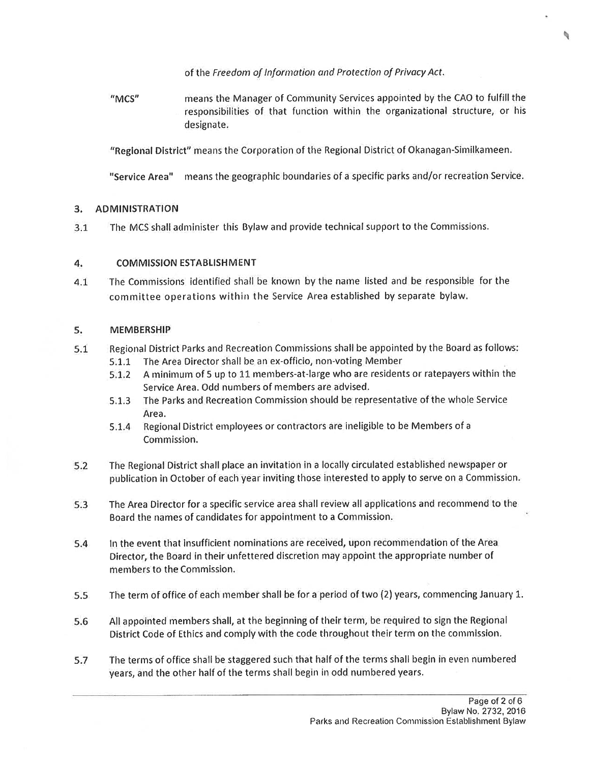of the Freedom of Information and Protection of Privacy Act.

"MCS" means the Manager of Community Services appointed by the CAO to fulfill the responsibilities of that function within the organizational structure, or his designate.

"Regional District" means the Corporation of the Regional District of Okanagan-Similkameen.

"Service Area" means the geographic boundaries of a specific parks and/or recreation Service.

#### 3.ADMINISTRATION

3.1The MCS shall administer this Bylaw and provide technical suppor<sup>t</sup> to the Commissions.

#### 4.COMMISSION ESTABLISHMENT

4.1 The Commissions identified shall he known by the name listed and be responsible for the committee operations within the Service Area established by separate bylaw.

#### 5.MEMBERSHIP

- 5.1 Regional District Parks and Recreation Commissions shall be appointed by the Board as follows: 5.1.1 The Area Director shall he an ex-officio, non-voting Member
	- 5.1.2 A minimum of 5 up to <sup>11</sup> members-at-large who are residents or ratepayers within the Service Area. Odd numbers of members are advised.
	- 5.1.3 The Parks and Recreation Commission should be representative of the whole Service Area.
	- 5.1.4 Regional District employees or contractors are ineligible to be Members of <sup>a</sup> Corn mission.
- 5.2 The Regional District shall <sup>p</sup>lace an invitation in <sup>a</sup> locally circulated established newspaper or publication in October of each year inviting those interested to apply to serve on <sup>a</sup> Commission.
- 5.3 The Area Director for <sup>a</sup> specific service area shall review all applications and recommend to the Board the names of candidates for appointment to <sup>a</sup> Commission.
- 5.4 In the event that insufficient nominations are received, upon recommendation of the Area Director, the Board in their unfettered discretion may appoint the appropriate number of members to the Commission.
- 5.5The term of office of each member shall be for <sup>a</sup> period of two (2) years, commencing January 1.
- 5.6 All appointed members shall, at the beginning of their term, be required to sign the Regional District Code of Ethics and comply with the code throughout their term on the commission.
- 5.7 The terms of office shall be staggered such that half of the terms shall begin in even numbered years, and the other half of the terms shall begin in odd numbered years.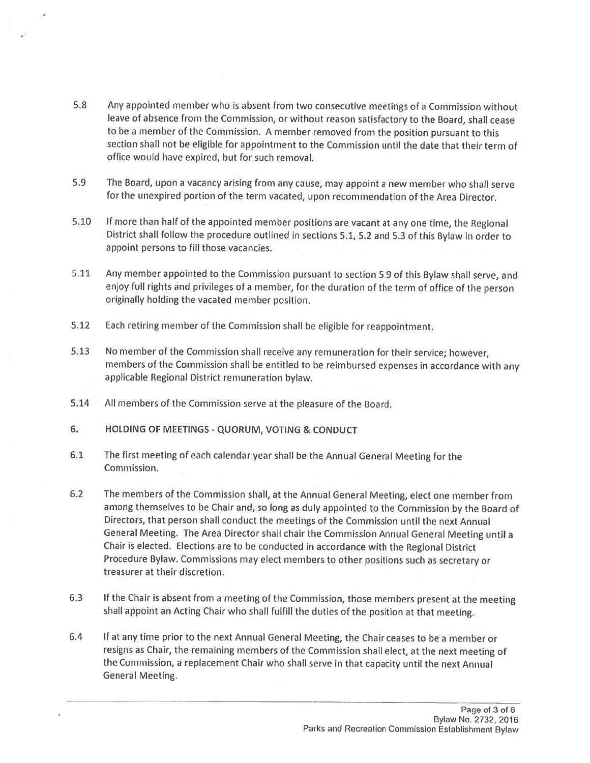- 5.8 Any appointed member who is absent from two consecutive meetings of <sup>a</sup> Commission without leave of absence from the Commission, or without reason satisfactory to the Board, shall cease to be <sup>a</sup> member of the Commission. <sup>A</sup> member removed from the position pursuant to this section shall not be eligible for appointment to the Commission until the date that their term of office would have expired, but for such removal.
- 5.9 The Board, upon <sup>a</sup> vacancy arising from any cause, may appoint <sup>a</sup> new member who shall serve for the unexpired portion of the term vacated, upon recommendation of the Area Director.
- 5.10 If more than half of the appointed member positions are vacant at any one time, the Regional District shall follow the procedure outlined in sections 5.1, 5.2 and 5.3 of this Bylaw in order to appoint persons to fill those vacancies.
- 5.11 Any member appointed to the Commission pursuant to section 5.9 of this Bylaw shall serve, and enjoy full rights and privileges of <sup>a</sup> member, for the duration of the term of office of the person originally holding the vacated member position.
- 5.12 Each retiring member of the Commission shall be eligible for reappointment.
- 5.13 No member of the Commission shall receive any remuneration for their service; however, members of the Commission shall be entitled to be reimbursed expenses in accordance with any applicable Regional District remuneration bylaw.
- 5.14 All members of the Commission serve at the pleasure of the Board.
- 6. HOLDING OF MEETINGS QUORUM, VOTING & CONDUCT
- 6.1 The first meeting of each calendar year shall he the Annual General Meeting for the Commission.
- 6.2 The members of the Commission shall, at the Annual General Meeting, elect one member from among themselves to he Chair and, so long as duly appointed to the Commission by the Board of Directors, that person shall conduct the meetings of the Commission until the next Annual General Meeting. The Area Director shall chair the Commission Annual General Meeting until <sup>a</sup> Chair is elected. Elections are to he conducted in accordance with the Regional District Procedure Bylaw. Commissions may elect members to other positions such as secretary or treasurer at their discretion.
- 6.3 If the Chair is absent from <sup>a</sup> meeting of the Commission, those members present at the meeting shall appoint an Acting Chair who shall fulfill the duties of the position at that meeting.
- 6.4 If at any time prior to the next Annual General Meeting, the Chair ceases to be <sup>a</sup> member or resigns as Chair, the remaining members of the Commission shall elect, at the next meeting of the Commission, <sup>a</sup> replacement Chair who shall serve in that capacity until the next Annual General Meeting.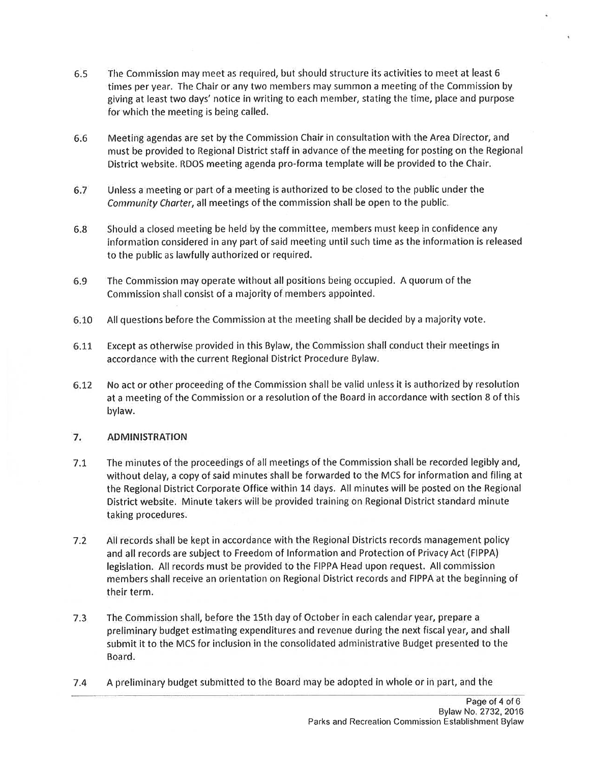- 6.5 The Commission may meet as required, but should structure its activities to meet at least 6 times per year. The Chair or any two members may summon <sup>a</sup> meeting of the Commission by giving at least two days' notice in writing to each member, stating the time, place and purpose for which the meeting is being called,
- 6.6 Meeting agendas are set by the Commission Chair in consultation with the Area Director, and must he provided to Regional District staff in advance of the meeting for posting on the Regional District website. RDOS meeting agenda pro-forma template will he provided to the Chair.
- 6.7 Unless <sup>a</sup> meeting or par<sup>t</sup> of <sup>a</sup> meeting is authorized to be closed to the public under the Community charter, all meetings of the commission shall be open to the public.
- 6.8 Should <sup>a</sup> closed meeting he held by the committee, members must keep in confidence any information considered in any par<sup>t</sup> of said meeting until such time as the information is released to the public as lawfully authorized or required.
- 6.9 The Commission may operate without all positions being occupied. A quorum of the Commission shall consist of <sup>a</sup> majority of members appointed.
- 6.10All questions before the Commission at the meeting shall be decided by <sup>a</sup> majority vote.
- 6.11 Except as otherwise provided in this Bylaw, the Commission shall conduct their meetings in accordance with the current Regional District Procedure Bylaw.
- 6.12 No act or other proceeding of the Commission shall be valid unless it is authorized by resolution at a meeting of the Commission or <sup>a</sup> resolution of the Board in accordance with section 8 of this bylaw.

#### 7.ADMINISTRATION

- 7.1 The minutes of the proceedings of all meetings of the Commission shall be recorded legibly and, without delay, <sup>a</sup> copy of said minutes shall be forwarded to the MCS for information and filing at the Regional District Corporate Office within 14 days. All minutes will be posted on the Regional District website. Minute takers will be provided training on Regional District standard minute taking procedures.
- 7.2 All records shall be kept in accordance with the Regional Districts records managemen<sup>t</sup> policy and all records are subject to Freedom of Information and Protection of Privacy Act (FIPPA) legislation. All records must be provided to the FIPPA Head upon request. All commission members shall receive an orientation on Regional District records and FIPPA at the beginning of their term.
- 7.3The Commission shall, before the 15th day of October in each calendar year, prepare a preliminary budget estimating expenditures and revenue during the next fiscal year, and shall submit it to the MCS for inclusion in the consolidated administrative Budget presented to the Board.
- 7.4 Apreliminary budget submitted to the Board may be adopted in whole or in part, and the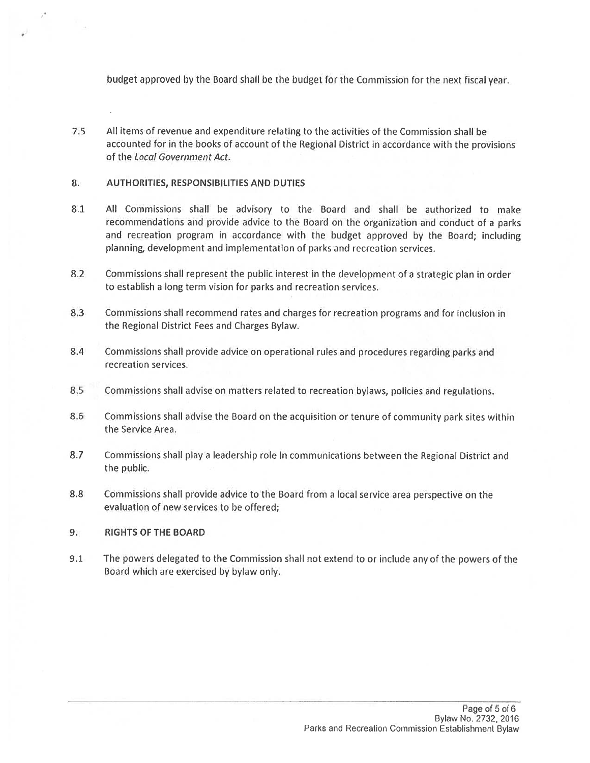budget approved by the Board shall be the budget for the Commission for the next fiscal year.

7.5 All items of revenue and expenditure relating to the activities of the Commission shall be accounted for in the books of account of the Regional District in accordance with the provisions of the Local Government Act.

### 8. AUTHORITIES, RESPONSIBILITIES AND DUTIES

- 8,1 All Commissions shall be advisory to the Board and shall be authorized to make recommendations and provide advice to the Board on the organization and conduct of <sup>a</sup> parks and recreation program in accordance with the budget approve<sup>d</sup> by the Board; including planning, development and implementation of parks and recreation services.
- 8.2 Commissions shall represen<sup>t</sup> the public interest in the development of <sup>a</sup> strategic <sup>p</sup>lan in order to establish <sup>a</sup> long term vision for parks and recreation services.
- 8.3 Commissions shall recommend rates and charges for recreation programs and for inclusion in the Regional District Fees and Charges Bylaw.
- 8.4 Commissions shall provide advice on operational rules and procedures regarding parks and recreation services.
- 8.5 Commissions shall advise on matters related to recreation bylaws, policies and regulations.
- 8.6 Commissions shall advise the Board on the acquisition or tenure of community par<sup>k</sup> sites within the Service Area.
- 8.7 Commissions shall <sup>p</sup>lay <sup>a</sup> leadership role in communications between the Regional District and the public.
- 8.8 Commissions shall provide advice to the Board from <sup>a</sup> local service area perspective on the evaluation of new services to be offered;

### 9. RIGHTS OF THE BOARD

9.1 The powers delegated to the Commission shall not extend to or include any of the powers of the Board which are exercised by bylaw only.